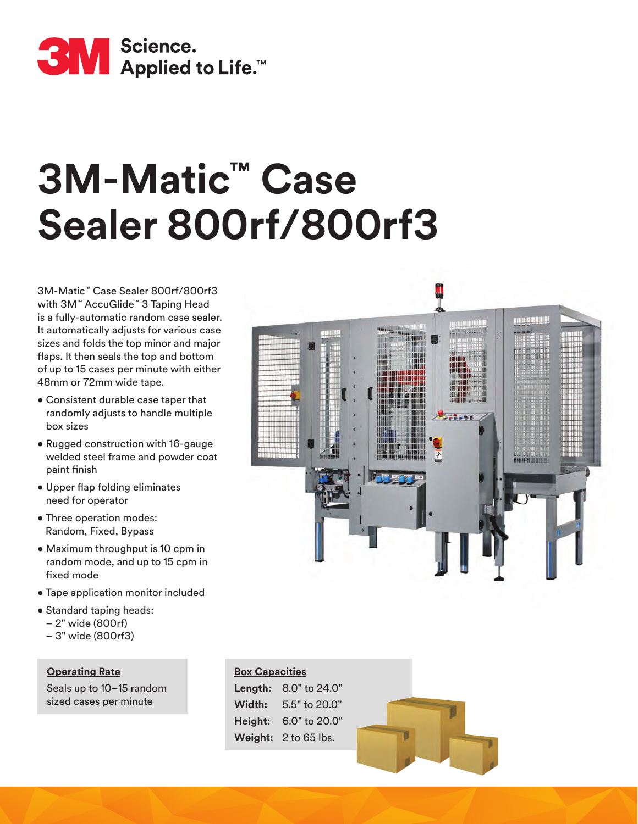

# **3M-Matic™ Case Sealer 800rf/800rf3**

3M-Matic™ Case Sealer 800rf/800rf3 with 3M<sup>™</sup> AccuGlide<sup>™</sup> 3 Taping Head is a fully-automatic random case sealer. It automatically adjusts for various case sizes and folds the top minor and major flaps. It then seals the top and bottom of up to 15 cases per minute with either 48mm or 72mm wide tape.

- Consistent durable case taper that randomly adjusts to handle multiple box sizes
- Rugged construction with 16-gauge welded steel frame and powder coat paint finish
- Upper flap folding eliminates need for operator
- Three operation modes: Random, Fixed, Bypass
- Maximum throughput is 10 cpm in random mode, and up to 15 cpm in fixed mode
- Tape application monitor included
- Standard taping heads:
	- 2" wide (800rf)
	- 3" wide (800rf3)

**Operating Rate** Seals up to 10–15 random sized cases per minute



## **Box Capacities**

**Length:** 8.0" to 24.0" **Width:** 5.5" to 20.0" **Height:** 6.0" to 20.0" **Weight:** 2 to 65 lbs.